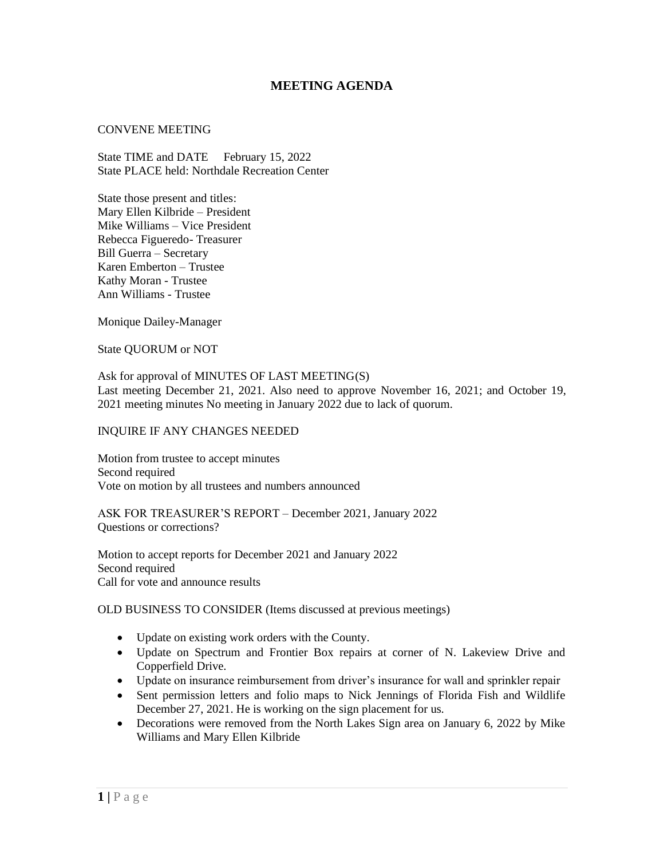## **MEETING AGENDA**

## CONVENE MEETING

State TIME and DATE February 15, 2022 State PLACE held: Northdale Recreation Center

State those present and titles: Mary Ellen Kilbride – President Mike Williams – Vice President Rebecca Figueredo- Treasurer Bill Guerra – Secretary Karen Emberton – Trustee Kathy Moran - Trustee Ann Williams - Trustee

Monique Dailey-Manager

State QUORUM or NOT

Ask for approval of MINUTES OF LAST MEETING(S) Last meeting December 21, 2021. Also need to approve November 16, 2021; and October 19, 2021 meeting minutes No meeting in January 2022 due to lack of quorum.

## INQUIRE IF ANY CHANGES NEEDED

Motion from trustee to accept minutes Second required Vote on motion by all trustees and numbers announced

ASK FOR TREASURER'S REPORT – December 2021, January 2022 Questions or corrections?

Motion to accept reports for December 2021 and January 2022 Second required Call for vote and announce results

OLD BUSINESS TO CONSIDER (Items discussed at previous meetings)

- Update on existing work orders with the County.
- Update on Spectrum and Frontier Box repairs at corner of N. Lakeview Drive and Copperfield Drive.
- Update on insurance reimbursement from driver's insurance for wall and sprinkler repair
- Sent permission letters and folio maps to Nick Jennings of Florida Fish and Wildlife December 27, 2021. He is working on the sign placement for us.
- Decorations were removed from the North Lakes Sign area on January 6, 2022 by Mike Williams and Mary Ellen Kilbride